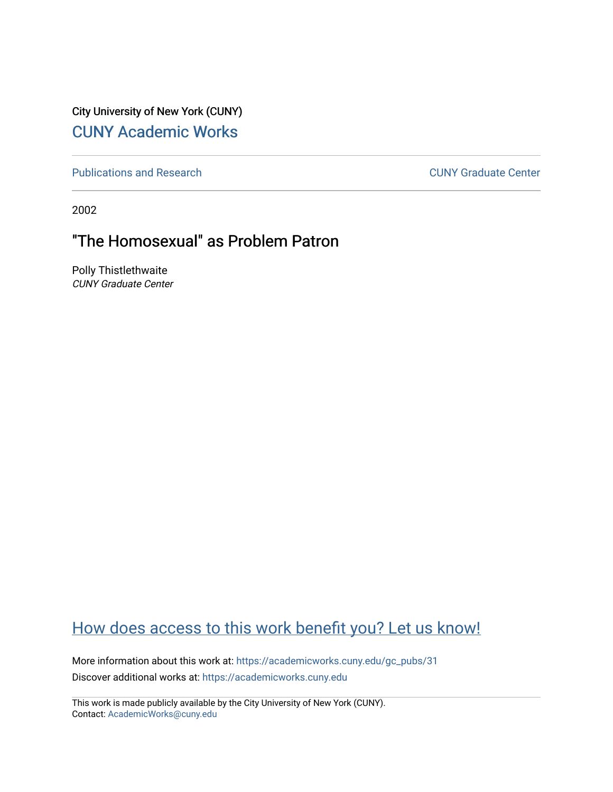City University of New York (CUNY) [CUNY Academic Works](https://academicworks.cuny.edu/) 

[Publications and Research](https://academicworks.cuny.edu/gc_pubs) [CUNY Graduate Center](https://academicworks.cuny.edu/gc) 

2002

## "The Homosexual" as Problem Patron

Polly Thistlethwaite CUNY Graduate Center

# [How does access to this work benefit you? Let us know!](http://ols.cuny.edu/academicworks/?ref=https://academicworks.cuny.edu/gc_pubs/31)

More information about this work at: [https://academicworks.cuny.edu/gc\\_pubs/31](https://academicworks.cuny.edu/gc_pubs/31)  Discover additional works at: [https://academicworks.cuny.edu](https://academicworks.cuny.edu/?)

This work is made publicly available by the City University of New York (CUNY). Contact: [AcademicWorks@cuny.edu](mailto:AcademicWorks@cuny.edu)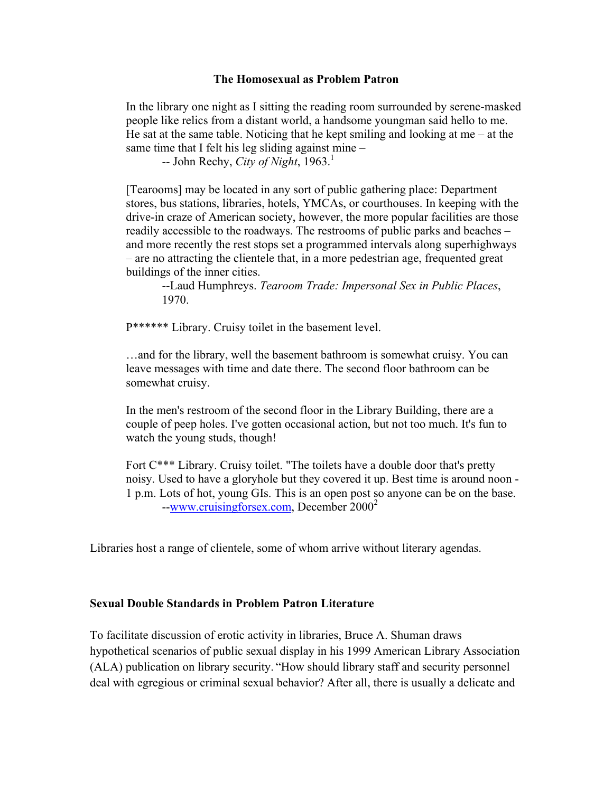#### **The Homosexual as Problem Patron**

In the library one night as I sitting the reading room surrounded by serene-masked people like relics from a distant world, a handsome youngman said hello to me. He sat at the same table. Noticing that he kept smiling and looking at me – at the same time that I felt his leg sliding against mine –

 $-$  John Rechy, *City of Night*, 1963.<sup>1</sup>

[Tearooms] may be located in any sort of public gathering place: Department stores, bus stations, libraries, hotels, YMCAs, or courthouses. In keeping with the drive-in craze of American society, however, the more popular facilities are those readily accessible to the roadways. The restrooms of public parks and beaches – and more recently the rest stops set a programmed intervals along superhighways – are no attracting the clientele that, in a more pedestrian age, frequented great buildings of the inner cities.

--Laud Humphreys. *Tearoom Trade: Impersonal Sex in Public Places*, 1970.

P\*\*\*\*\*\* Library. Cruisy toilet in the basement level.

…and for the library, well the basement bathroom is somewhat cruisy. You can leave messages with time and date there. The second floor bathroom can be somewhat cruisy.

In the men's restroom of the second floor in the Library Building, there are a couple of peep holes. I've gotten occasional action, but not too much. It's fun to watch the young studs, though!

Fort C\*\*\* Library. Cruisy toilet. "The toilets have a double door that's pretty noisy. Used to have a gloryhole but they covered it up. Best time is around noon - 1 p.m. Lots of hot, young GIs. This is an open post so anyone can be on the base. --www.cruisingforsex.com, December 2000<sup>2</sup>

Libraries host a range of clientele, some of whom arrive without literary agendas.

#### **Sexual Double Standards in Problem Patron Literature**

To facilitate discussion of erotic activity in libraries, Bruce A. Shuman draws hypothetical scenarios of public sexual display in his 1999 American Library Association (ALA) publication on library security. "How should library staff and security personnel deal with egregious or criminal sexual behavior? After all, there is usually a delicate and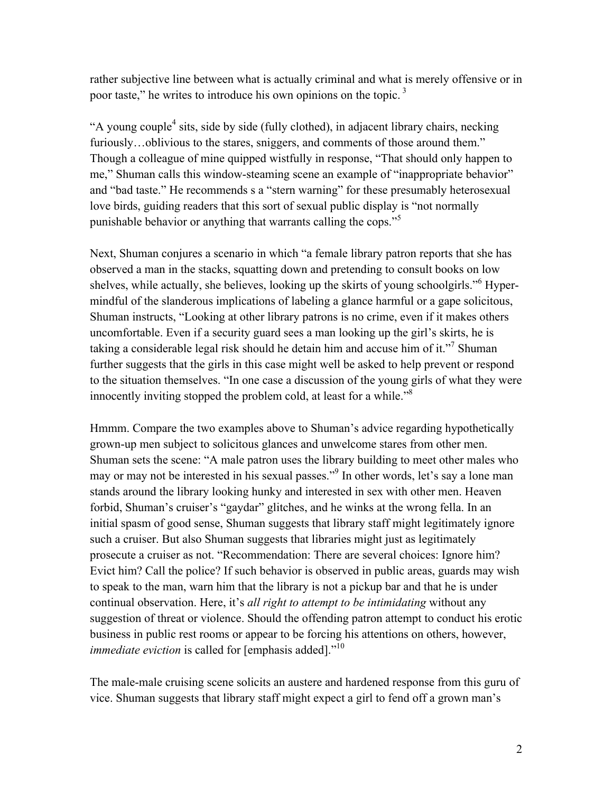rather subjective line between what is actually criminal and what is merely offensive or in poor taste," he writes to introduce his own opinions on the topic.<sup>3</sup>

"A young couple<sup>4</sup> sits, side by side (fully clothed), in adjacent library chairs, necking furiously...oblivious to the stares, sniggers, and comments of those around them." Though a colleague of mine quipped wistfully in response, "That should only happen to me," Shuman calls this window-steaming scene an example of "inappropriate behavior" and "bad taste." He recommends s a "stern warning" for these presumably heterosexual love birds, guiding readers that this sort of sexual public display is "not normally punishable behavior or anything that warrants calling the cops."<sup>5</sup>

Next, Shuman conjures a scenario in which "a female library patron reports that she has observed a man in the stacks, squatting down and pretending to consult books on low shelves, while actually, she believes, looking up the skirts of young schoolgirls."<sup>6</sup> Hypermindful of the slanderous implications of labeling a glance harmful or a gape solicitous, Shuman instructs, "Looking at other library patrons is no crime, even if it makes others uncomfortable. Even if a security guard sees a man looking up the girl's skirts, he is taking a considerable legal risk should he detain him and accuse him of it."7 Shuman further suggests that the girls in this case might well be asked to help prevent or respond to the situation themselves. "In one case a discussion of the young girls of what they were innocently inviting stopped the problem cold, at least for a while.<sup>38</sup>

Hmmm. Compare the two examples above to Shuman's advice regarding hypothetically grown-up men subject to solicitous glances and unwelcome stares from other men. Shuman sets the scene: "A male patron uses the library building to meet other males who may or may not be interested in his sexual passes."<sup>9</sup> In other words, let's say a lone man stands around the library looking hunky and interested in sex with other men. Heaven forbid, Shuman's cruiser's "gaydar" glitches, and he winks at the wrong fella. In an initial spasm of good sense, Shuman suggests that library staff might legitimately ignore such a cruiser. But also Shuman suggests that libraries might just as legitimately prosecute a cruiser as not. "Recommendation: There are several choices: Ignore him? Evict him? Call the police? If such behavior is observed in public areas, guards may wish to speak to the man, warn him that the library is not a pickup bar and that he is under continual observation. Here, it's *all right to attempt to be intimidating* without any suggestion of threat or violence. Should the offending patron attempt to conduct his erotic business in public rest rooms or appear to be forcing his attentions on others, however, *immediate eviction* is called for [emphasis added]."<sup>10</sup>

The male-male cruising scene solicits an austere and hardened response from this guru of vice. Shuman suggests that library staff might expect a girl to fend off a grown man's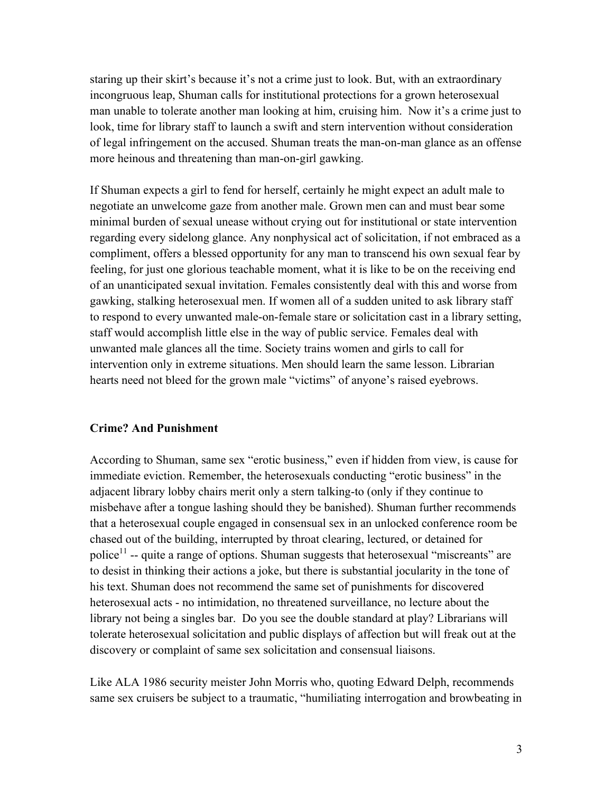staring up their skirt's because it's not a crime just to look. But, with an extraordinary incongruous leap, Shuman calls for institutional protections for a grown heterosexual man unable to tolerate another man looking at him, cruising him. Now it's a crime just to look, time for library staff to launch a swift and stern intervention without consideration of legal infringement on the accused. Shuman treats the man-on-man glance as an offense more heinous and threatening than man-on-girl gawking.

If Shuman expects a girl to fend for herself, certainly he might expect an adult male to negotiate an unwelcome gaze from another male. Grown men can and must bear some minimal burden of sexual unease without crying out for institutional or state intervention regarding every sidelong glance. Any nonphysical act of solicitation, if not embraced as a compliment, offers a blessed opportunity for any man to transcend his own sexual fear by feeling, for just one glorious teachable moment, what it is like to be on the receiving end of an unanticipated sexual invitation. Females consistently deal with this and worse from gawking, stalking heterosexual men. If women all of a sudden united to ask library staff to respond to every unwanted male-on-female stare or solicitation cast in a library setting, staff would accomplish little else in the way of public service. Females deal with unwanted male glances all the time. Society trains women and girls to call for intervention only in extreme situations. Men should learn the same lesson. Librarian hearts need not bleed for the grown male "victims" of anyone's raised eyebrows.

## **Crime? And Punishment**

According to Shuman, same sex "erotic business," even if hidden from view, is cause for immediate eviction. Remember, the heterosexuals conducting "erotic business" in the adjacent library lobby chairs merit only a stern talking-to (only if they continue to misbehave after a tongue lashing should they be banished). Shuman further recommends that a heterosexual couple engaged in consensual sex in an unlocked conference room be chased out of the building, interrupted by throat clearing, lectured, or detained for police<sup>11</sup> -- quite a range of options. Shuman suggests that heterosexual "miscreants" are to desist in thinking their actions a joke, but there is substantial jocularity in the tone of his text. Shuman does not recommend the same set of punishments for discovered heterosexual acts - no intimidation, no threatened surveillance, no lecture about the library not being a singles bar. Do you see the double standard at play? Librarians will tolerate heterosexual solicitation and public displays of affection but will freak out at the discovery or complaint of same sex solicitation and consensual liaisons.

Like ALA 1986 security meister John Morris who, quoting Edward Delph, recommends same sex cruisers be subject to a traumatic, "humiliating interrogation and browbeating in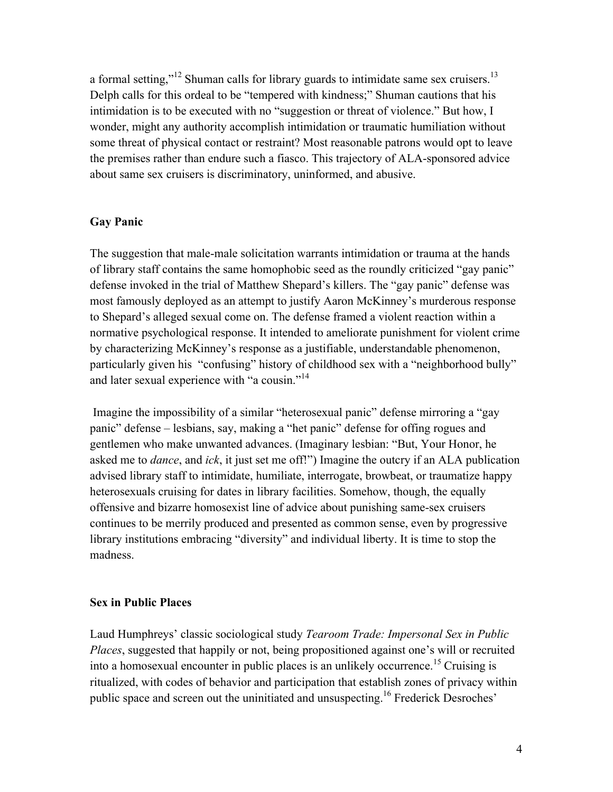a formal setting,"<sup>12</sup> Shuman calls for library guards to intimidate same sex cruisers.<sup>13</sup> Delph calls for this ordeal to be "tempered with kindness;" Shuman cautions that his intimidation is to be executed with no "suggestion or threat of violence." But how, I wonder, might any authority accomplish intimidation or traumatic humiliation without some threat of physical contact or restraint? Most reasonable patrons would opt to leave the premises rather than endure such a fiasco. This trajectory of ALA-sponsored advice about same sex cruisers is discriminatory, uninformed, and abusive.

## **Gay Panic**

The suggestion that male-male solicitation warrants intimidation or trauma at the hands of library staff contains the same homophobic seed as the roundly criticized "gay panic" defense invoked in the trial of Matthew Shepard's killers. The "gay panic" defense was most famously deployed as an attempt to justify Aaron McKinney's murderous response to Shepard's alleged sexual come on. The defense framed a violent reaction within a normative psychological response. It intended to ameliorate punishment for violent crime by characterizing McKinney's response as a justifiable, understandable phenomenon, particularly given his "confusing" history of childhood sex with a "neighborhood bully" and later sexual experience with "a cousin."<sup>14</sup>

Imagine the impossibility of a similar "heterosexual panic" defense mirroring a "gay panic" defense – lesbians, say, making a "het panic" defense for offing rogues and gentlemen who make unwanted advances. (Imaginary lesbian: "But, Your Honor, he asked me to *dance*, and *ick*, it just set me off!") Imagine the outcry if an ALA publication advised library staff to intimidate, humiliate, interrogate, browbeat, or traumatize happy heterosexuals cruising for dates in library facilities. Somehow, though, the equally offensive and bizarre homosexist line of advice about punishing same-sex cruisers continues to be merrily produced and presented as common sense, even by progressive library institutions embracing "diversity" and individual liberty. It is time to stop the madness.

## **Sex in Public Places**

Laud Humphreys' classic sociological study *Tearoom Trade: Impersonal Sex in Public Places*, suggested that happily or not, being propositioned against one's will or recruited into a homosexual encounter in public places is an unlikely occurrence.<sup>15</sup> Cruising is ritualized, with codes of behavior and participation that establish zones of privacy within public space and screen out the uninitiated and unsuspecting.16 Frederick Desroches'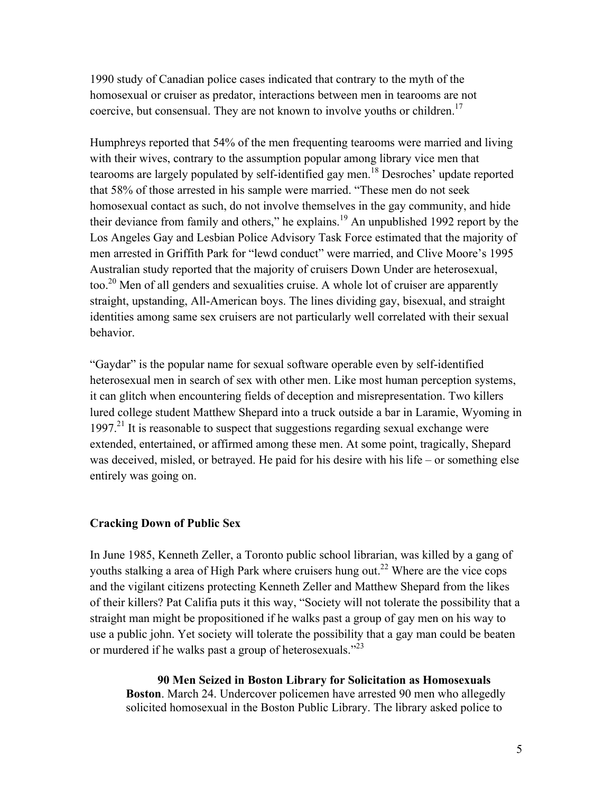1990 study of Canadian police cases indicated that contrary to the myth of the homosexual or cruiser as predator, interactions between men in tearooms are not coercive, but consensual. They are not known to involve youths or children.<sup>17</sup>

Humphreys reported that 54% of the men frequenting tearooms were married and living with their wives, contrary to the assumption popular among library vice men that tearooms are largely populated by self-identified gay men.<sup>18</sup> Desroches' update reported that 58% of those arrested in his sample were married. "These men do not seek homosexual contact as such, do not involve themselves in the gay community, and hide their deviance from family and others," he explains.<sup>19</sup> An unpublished 1992 report by the Los Angeles Gay and Lesbian Police Advisory Task Force estimated that the majority of men arrested in Griffith Park for "lewd conduct" were married, and Clive Moore's 1995 Australian study reported that the majority of cruisers Down Under are heterosexual, too.20 Men of all genders and sexualities cruise. A whole lot of cruiser are apparently straight, upstanding, All-American boys. The lines dividing gay, bisexual, and straight identities among same sex cruisers are not particularly well correlated with their sexual behavior.

"Gaydar" is the popular name for sexual software operable even by self-identified heterosexual men in search of sex with other men. Like most human perception systems, it can glitch when encountering fields of deception and misrepresentation. Two killers lured college student Matthew Shepard into a truck outside a bar in Laramie, Wyoming in 1997.<sup>21</sup> It is reasonable to suspect that suggestions regarding sexual exchange were extended, entertained, or affirmed among these men. At some point, tragically, Shepard was deceived, misled, or betrayed. He paid for his desire with his life – or something else entirely was going on.

#### **Cracking Down of Public Sex**

In June 1985, Kenneth Zeller, a Toronto public school librarian, was killed by a gang of youths stalking a area of High Park where cruisers hung out.<sup>22</sup> Where are the vice cops and the vigilant citizens protecting Kenneth Zeller and Matthew Shepard from the likes of their killers? Pat Califia puts it this way, "Society will not tolerate the possibility that a straight man might be propositioned if he walks past a group of gay men on his way to use a public john. Yet society will tolerate the possibility that a gay man could be beaten or murdered if he walks past a group of heterosexuals."<sup>23</sup>

**90 Men Seized in Boston Library for Solicitation as Homosexuals Boston**. March 24. Undercover policemen have arrested 90 men who allegedly solicited homosexual in the Boston Public Library. The library asked police to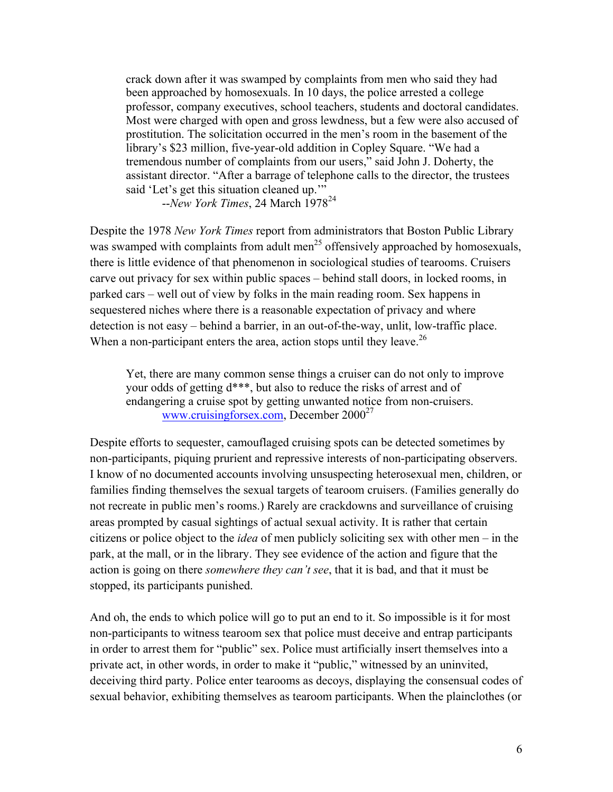crack down after it was swamped by complaints from men who said they had been approached by homosexuals. In 10 days, the police arrested a college professor, company executives, school teachers, students and doctoral candidates. Most were charged with open and gross lewdness, but a few were also accused of prostitution. The solicitation occurred in the men's room in the basement of the library's \$23 million, five-year-old addition in Copley Square. "We had a tremendous number of complaints from our users," said John J. Doherty, the assistant director. "After a barrage of telephone calls to the director, the trustees said 'Let's get this situation cleaned up."

-*-New York Times*, 24 March 1978<sup>24</sup>

Despite the 1978 *New York Times* report from administrators that Boston Public Library was swamped with complaints from adult men<sup>25</sup> offensively approached by homosexuals, there is little evidence of that phenomenon in sociological studies of tearooms. Cruisers carve out privacy for sex within public spaces – behind stall doors, in locked rooms, in parked cars – well out of view by folks in the main reading room. Sex happens in sequestered niches where there is a reasonable expectation of privacy and where detection is not easy – behind a barrier, in an out-of-the-way, unlit, low-traffic place. When a non-participant enters the area, action stops until they leave.<sup>26</sup>

Yet, there are many common sense things a cruiser can do not only to improve your odds of getting d\*\*\*, but also to reduce the risks of arrest and of endangering a cruise spot by getting unwanted notice from non-cruisers. www.cruisingforsex.com, December  $2000^{27}$ 

Despite efforts to sequester, camouflaged cruising spots can be detected sometimes by non-participants, piquing prurient and repressive interests of non-participating observers. I know of no documented accounts involving unsuspecting heterosexual men, children, or families finding themselves the sexual targets of tearoom cruisers. (Families generally do not recreate in public men's rooms.) Rarely are crackdowns and surveillance of cruising areas prompted by casual sightings of actual sexual activity. It is rather that certain citizens or police object to the *idea* of men publicly soliciting sex with other men – in the park, at the mall, or in the library. They see evidence of the action and figure that the action is going on there *somewhere they can't see*, that it is bad, and that it must be stopped, its participants punished.

And oh, the ends to which police will go to put an end to it. So impossible is it for most non-participants to witness tearoom sex that police must deceive and entrap participants in order to arrest them for "public" sex. Police must artificially insert themselves into a private act, in other words, in order to make it "public," witnessed by an uninvited, deceiving third party. Police enter tearooms as decoys, displaying the consensual codes of sexual behavior, exhibiting themselves as tearoom participants. When the plainclothes (or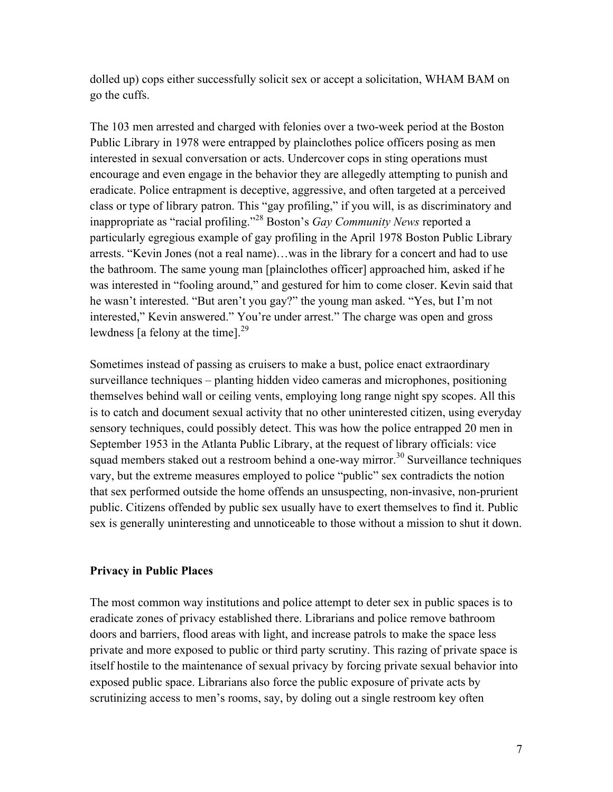dolled up) cops either successfully solicit sex or accept a solicitation, WHAM BAM on go the cuffs.

The 103 men arrested and charged with felonies over a two-week period at the Boston Public Library in 1978 were entrapped by plainclothes police officers posing as men interested in sexual conversation or acts. Undercover cops in sting operations must encourage and even engage in the behavior they are allegedly attempting to punish and eradicate. Police entrapment is deceptive, aggressive, and often targeted at a perceived class or type of library patron. This "gay profiling," if you will, is as discriminatory and inappropriate as "racial profiling."<sup>28</sup> Boston's *Gay Community News* reported a particularly egregious example of gay profiling in the April 1978 Boston Public Library arrests. "Kevin Jones (not a real name)…was in the library for a concert and had to use the bathroom. The same young man [plainclothes officer] approached him, asked if he was interested in "fooling around," and gestured for him to come closer. Kevin said that he wasn't interested. "But aren't you gay?" the young man asked. "Yes, but I'm not interested," Kevin answered." You're under arrest." The charge was open and gross lewdness [a felony at the time]. $^{29}$ 

Sometimes instead of passing as cruisers to make a bust, police enact extraordinary surveillance techniques – planting hidden video cameras and microphones, positioning themselves behind wall or ceiling vents, employing long range night spy scopes. All this is to catch and document sexual activity that no other uninterested citizen, using everyday sensory techniques, could possibly detect. This was how the police entrapped 20 men in September 1953 in the Atlanta Public Library, at the request of library officials: vice squad members staked out a restroom behind a one-way mirror.<sup>30</sup> Surveillance techniques vary, but the extreme measures employed to police "public" sex contradicts the notion that sex performed outside the home offends an unsuspecting, non-invasive, non-prurient public. Citizens offended by public sex usually have to exert themselves to find it. Public sex is generally uninteresting and unnoticeable to those without a mission to shut it down.

## **Privacy in Public Places**

The most common way institutions and police attempt to deter sex in public spaces is to eradicate zones of privacy established there. Librarians and police remove bathroom doors and barriers, flood areas with light, and increase patrols to make the space less private and more exposed to public or third party scrutiny. This razing of private space is itself hostile to the maintenance of sexual privacy by forcing private sexual behavior into exposed public space. Librarians also force the public exposure of private acts by scrutinizing access to men's rooms, say, by doling out a single restroom key often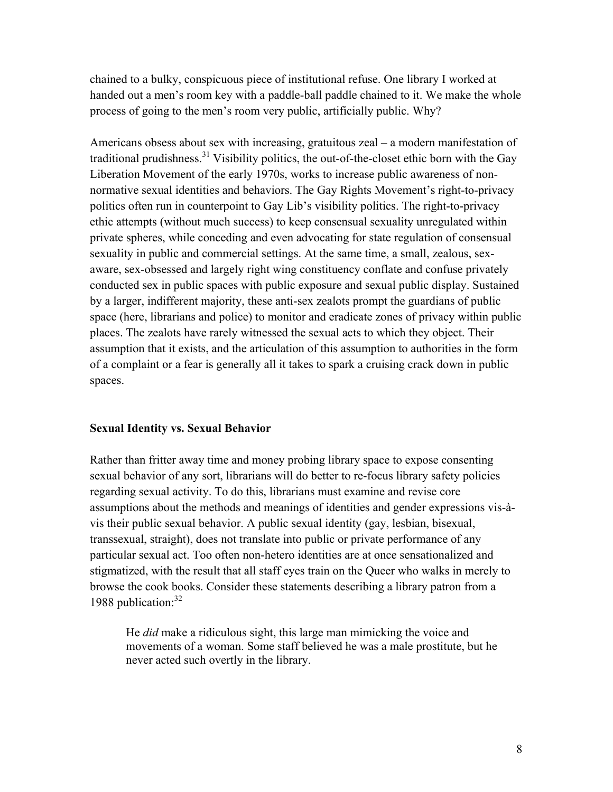chained to a bulky, conspicuous piece of institutional refuse. One library I worked at handed out a men's room key with a paddle-ball paddle chained to it. We make the whole process of going to the men's room very public, artificially public. Why?

Americans obsess about sex with increasing, gratuitous zeal – a modern manifestation of traditional prudishness.<sup>31</sup> Visibility politics, the out-of-the-closet ethic born with the Gay Liberation Movement of the early 1970s, works to increase public awareness of nonnormative sexual identities and behaviors. The Gay Rights Movement's right-to-privacy politics often run in counterpoint to Gay Lib's visibility politics. The right-to-privacy ethic attempts (without much success) to keep consensual sexuality unregulated within private spheres, while conceding and even advocating for state regulation of consensual sexuality in public and commercial settings. At the same time, a small, zealous, sexaware, sex-obsessed and largely right wing constituency conflate and confuse privately conducted sex in public spaces with public exposure and sexual public display. Sustained by a larger, indifferent majority, these anti-sex zealots prompt the guardians of public space (here, librarians and police) to monitor and eradicate zones of privacy within public places. The zealots have rarely witnessed the sexual acts to which they object. Their assumption that it exists, and the articulation of this assumption to authorities in the form of a complaint or a fear is generally all it takes to spark a cruising crack down in public spaces.

#### **Sexual Identity vs. Sexual Behavior**

Rather than fritter away time and money probing library space to expose consenting sexual behavior of any sort, librarians will do better to re-focus library safety policies regarding sexual activity. To do this, librarians must examine and revise core assumptions about the methods and meanings of identities and gender expressions vis-àvis their public sexual behavior. A public sexual identity (gay, lesbian, bisexual, transsexual, straight), does not translate into public or private performance of any particular sexual act. Too often non-hetero identities are at once sensationalized and stigmatized, with the result that all staff eyes train on the Queer who walks in merely to browse the cook books. Consider these statements describing a library patron from a 1988 publication:<sup>32</sup>

He *did* make a ridiculous sight, this large man mimicking the voice and movements of a woman. Some staff believed he was a male prostitute, but he never acted such overtly in the library.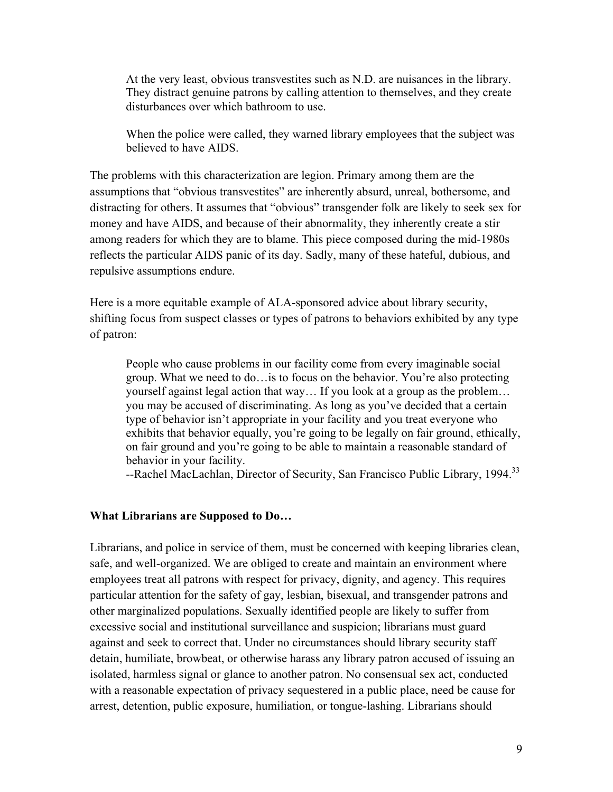At the very least, obvious transvestites such as N.D. are nuisances in the library. They distract genuine patrons by calling attention to themselves, and they create disturbances over which bathroom to use.

When the police were called, they warned library employees that the subject was believed to have AIDS.

The problems with this characterization are legion. Primary among them are the assumptions that "obvious transvestites" are inherently absurd, unreal, bothersome, and distracting for others. It assumes that "obvious" transgender folk are likely to seek sex for money and have AIDS, and because of their abnormality, they inherently create a stir among readers for which they are to blame. This piece composed during the mid-1980s reflects the particular AIDS panic of its day. Sadly, many of these hateful, dubious, and repulsive assumptions endure.

Here is a more equitable example of ALA-sponsored advice about library security, shifting focus from suspect classes or types of patrons to behaviors exhibited by any type of patron:

People who cause problems in our facility come from every imaginable social group. What we need to do…is to focus on the behavior. You're also protecting yourself against legal action that way… If you look at a group as the problem… you may be accused of discriminating. As long as you've decided that a certain type of behavior isn't appropriate in your facility and you treat everyone who exhibits that behavior equally, you're going to be legally on fair ground, ethically, on fair ground and you're going to be able to maintain a reasonable standard of behavior in your facility.

--Rachel MacLachlan, Director of Security, San Francisco Public Library, 1994.<sup>33</sup>

#### **What Librarians are Supposed to Do…**

Librarians, and police in service of them, must be concerned with keeping libraries clean, safe, and well-organized. We are obliged to create and maintain an environment where employees treat all patrons with respect for privacy, dignity, and agency. This requires particular attention for the safety of gay, lesbian, bisexual, and transgender patrons and other marginalized populations. Sexually identified people are likely to suffer from excessive social and institutional surveillance and suspicion; librarians must guard against and seek to correct that. Under no circumstances should library security staff detain, humiliate, browbeat, or otherwise harass any library patron accused of issuing an isolated, harmless signal or glance to another patron. No consensual sex act, conducted with a reasonable expectation of privacy sequestered in a public place, need be cause for arrest, detention, public exposure, humiliation, or tongue-lashing. Librarians should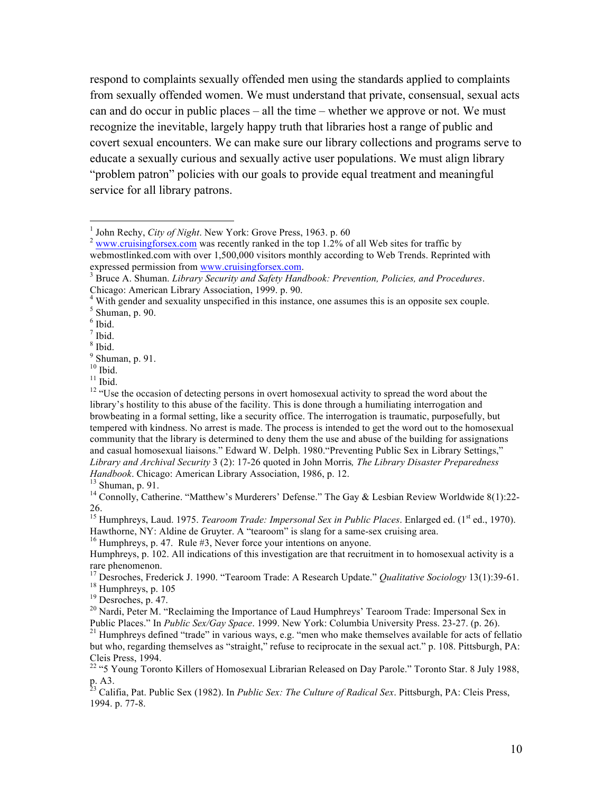respond to complaints sexually offended men using the standards applied to complaints from sexually offended women. We must understand that private, consensual, sexual acts can and do occur in public places – all the time – whether we approve or not. We must recognize the inevitable, largely happy truth that libraries host a range of public and covert sexual encounters. We can make sure our library collections and programs serve to educate a sexually curious and sexually active user populations. We must align library "problem patron" policies with our goals to provide equal treatment and meaningful service for all library patrons.

26.

<sup>15</sup> Humphreys, Laud. 1975. *Tearoom Trade: Impersonal Sex in Public Places*. Enlarged ed. (1<sup>st</sup> ed., 1970). Hawthorne, NY: Aldine de Gruyter. A "tearoom" is slang for a same-sex cruising area.<br><sup>16</sup> Humphreys, p. 47. Rule #3, Never force your intentions on anyone.

Humphreys, p. 102. All indications of this investigation are that recruitment in to homosexual activity is a rare phenomenon.<br><sup>17</sup> Desroches, Frederick J. 1990. "Tearoom Trade: A Research Update." *Qualitative Sociology* 13(1):39-61.

<sup>18</sup> Humphreys, p. 105<br><sup>19</sup> Desroches, p. 47.<br><sup>20</sup> Nardi, Peter M. "Reclaiming the Importance of Laud Humphreys' Tearoom Trade: Impersonal Sex in<br>Public Places." In *Public Sex/Gay Space*. 1999. New York: Columbia Univers

<sup>21</sup> Humphreys defined "trade" in various ways, e.g. "men who make themselves available for acts of fellatio but who, regarding themselves as "straight," refuse to reciprocate in the sexual act." p. 108. Pittsburgh, PA: Cleis Press, 1994.

<sup>22</sup> "5 Young Toronto Killers of Homosexual Librarian Released on Day Parole." Toronto Star. 8 July 1988, p. A3.

<sup>23</sup> Califia, Pat. Public Sex (1982). In *Public Sex: The Culture of Radical Sex*. Pittsburgh, PA: Cleis Press, 1994. p. 77-8.

<sup>&</sup>lt;sup>1</sup> John Rechy, *City of Night*. New York: Grove Press, 1963. p. 60  $\frac{2}{x}$  www.cruisingforsex.com was recently ranked in the top 1.2% of all Web sites for traffic by webmostlinked.com with over 1,500,000 visitors monthly according to Web Trends. Reprinted with expressed permission from www.cruisingforsex.com.<br><sup>3</sup> Bruce A. Shuman. *Library Security and Safety Handbook: Prevention, Policies, and Procedures.* 

Chicago: American Library Association, 1999. p. 90.

 $\frac{4}{5}$  With gender and sexuality unspecified in this instance, one assumes this is an opposite sex couple.  $\frac{5}{5}$  Shuman, p. 90.

 $^6$  Ibid.

 $7$  Ibid.

<sup>8</sup> Ibid.

 $<sup>9</sup>$  Shuman, p. 91.<br><sup>10</sup> Ibid.</sup>

<sup>&</sup>lt;sup>11</sup> Ibid. <sup>12</sup> "Use the occasion of detecting persons in overt homosexual activity to spread the word about the  $\frac{12}{12}$  "Use the occasion of detecting persons in overt homosexual activity to spread the word about the library's hostility to this abuse of the facility. This is done through a humiliating interrogation and browbeating in a formal setting, like a security office. The interrogation is traumatic, purposefully, but tempered with kindness. No arrest is made. The process is intended to get the word out to the homosexual community that the library is determined to deny them the use and abuse of the building for assignations and casual homosexual liaisons." Edward W. Delph. 1980."Preventing Public Sex in Library Settings," *Library and Archival Security* 3 (2): 17-26 quoted in John Morris*, The Library Disaster Preparedness Handbook*. Chicago: American Library Association, 1986, p. 12.<br><sup>13</sup> Shuman, p. 91.<br><sup>14</sup> Connolly, Catherine. "Matthew's Murderers' Defense." The Gay & Lesbian Review Worldwide 8(1):22-